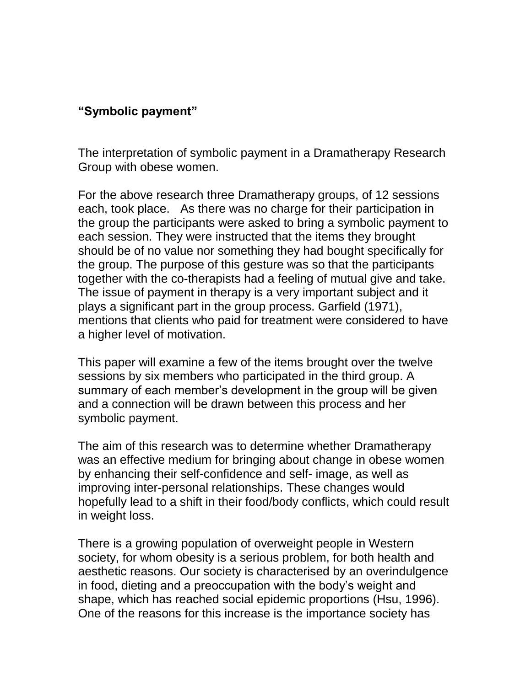## **"Symbolic payment"**

The interpretation of symbolic payment in a Dramatherapy Research Group with obese women.

For the above research three Dramatherapy groups, of 12 sessions each, took place. As there was no charge for their participation in the group the participants were asked to bring a symbolic payment to each session. They were instructed that the items they brought should be of no value nor something they had bought specifically for the group. The purpose of this gesture was so that the participants together with the co-therapists had a feeling of mutual give and take. The issue of payment in therapy is a very important subject and it plays a significant part in the group process. Garfield (1971), mentions that clients who paid for treatment were considered to have a higher level of motivation.

This paper will examine a few of the items brought over the twelve sessions by six members who participated in the third group. A summary of each member's development in the group will be given and a connection will be drawn between this process and her symbolic payment.

The aim of this research was to determine whether Dramatherapy was an effective medium for bringing about change in obese women by enhancing their self-confidence and self- image, as well as improving inter-personal relationships. These changes would hopefully lead to a shift in their food/body conflicts, which could result in weight loss.

There is a growing population of overweight people in Western society, for whom obesity is a serious problem, for both health and aesthetic reasons. Our society is characterised by an overindulgence in food, dieting and a preoccupation with the body's weight and shape, which has reached social epidemic proportions (Hsu, 1996). One of the reasons for this increase is the importance society has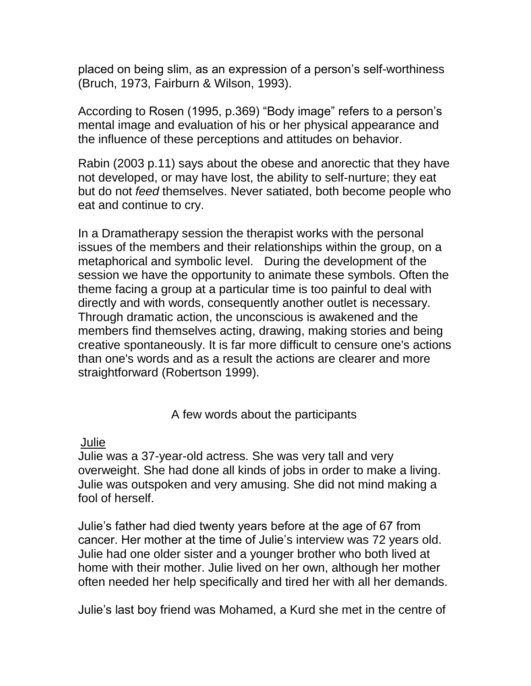placed on being slim, as an expression of a person's self-worthiness (Bruch, 1973, Fairburn & Wilson, 1993).

According to Rosen (1995, p.369) "Body image" refers to a person's mental image and evaluation of his or her physical appearance and the influence of these perceptions and attitudes on behavior.

Rabin (2003 p.11) says about the obese and anorectic that they have not developed, or may have lost, the ability to self-nurture; they eat but do not *feed* themselves. Never satiated, both become people who eat and continue to cry.

In a Dramatherapy session the therapist works with the personal issues of the members and their relationships within the group, on a metaphorical and symbolic level. During the development of the session we have the opportunity to animate these symbols. Often the theme facing a group at a particular time is too painful to deal with directly and with words, consequently another outlet is necessary. Through dramatic action, the unconscious is awakened and the members find themselves acting, drawing, making stories and being creative spontaneously. It is far more difficult to censure one's actions than one's words and as a result the actions are clearer and more straightforward (Robertson 1999).

A few words about the participants

# Julie

Julie was a 37-year-old actress. She was very tall and very overweight. She had done all kinds of jobs in order to make a living. Julie was outspoken and very amusing. She did not mind making a fool of herself.

Julie's father had died twenty years before at the age of 67 from cancer. Her mother at the time of Julie's interview was 72 years old. Julie had one older sister and a younger brother who both lived at home with their mother. Julie lived on her own, although her mother often needed her help specifically and tired her with all her demands.

Julie's last boy friend was Mohamed, a Kurd she met in the centre of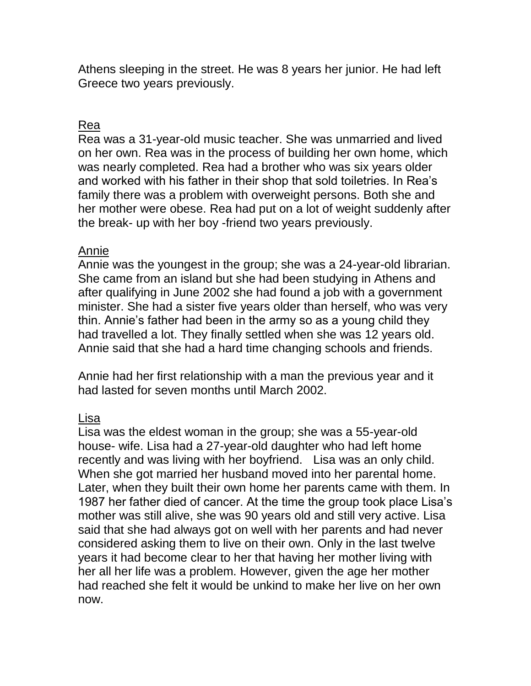Athens sleeping in the street. He was 8 years her junior. He had left Greece two years previously.

# Rea

Rea was a 31-year-old music teacher. She was unmarried and lived on her own. Rea was in the process of building her own home, which was nearly completed. Rea had a brother who was six years older and worked with his father in their shop that sold toiletries. In Rea's family there was a problem with overweight persons. Both she and her mother were obese. Rea had put on a lot of weight suddenly after the break- up with her boy -friend two years previously.

#### Annie

Annie was the youngest in the group; she was a 24-year-old librarian. She came from an island but she had been studying in Athens and after qualifying in June 2002 she had found a job with a government minister. She had a sister five years older than herself, who was very thin. Annie's father had been in the army so as a young child they had travelled a lot. They finally settled when she was 12 years old. Annie said that she had a hard time changing schools and friends.

Annie had her first relationship with a man the previous year and it had lasted for seven months until March 2002.

## Lisa

Lisa was the eldest woman in the group; she was a 55-year-old house- wife. Lisa had a 27-year-old daughter who had left home recently and was living with her boyfriend. Lisa was an only child. When she got married her husband moved into her parental home. Later, when they built their own home her parents came with them. In 1987 her father died of cancer. At the time the group took place Lisa's mother was still alive, she was 90 years old and still very active. Lisa said that she had always got on well with her parents and had never considered asking them to live on their own. Only in the last twelve years it had become clear to her that having her mother living with her all her life was a problem. However, given the age her mother had reached she felt it would be unkind to make her live on her own now.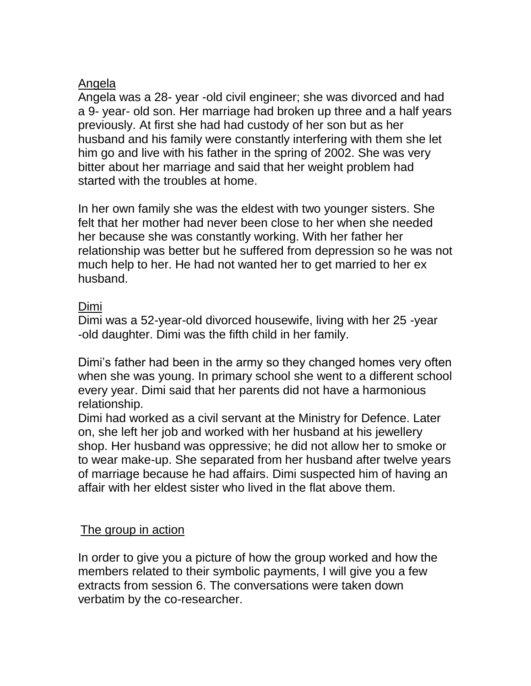## Angela

Angela was a 28- year -old civil engineer; she was divorced and had a 9- year- old son. Her marriage had broken up three and a half years previously. At first she had had custody of her son but as her husband and his family were constantly interfering with them she let him go and live with his father in the spring of 2002. She was very bitter about her marriage and said that her weight problem had started with the troubles at home.

In her own family she was the eldest with two younger sisters. She felt that her mother had never been close to her when she needed her because she was constantly working. With her father her relationship was better but he suffered from depression so he was not much help to her. He had not wanted her to get married to her ex husband.

# Dimi

Dimi was a 52-year-old divorced housewife, living with her 25 -year -old daughter. Dimi was the fifth child in her family.

Dimi's father had been in the army so they changed homes very often when she was young. In primary school she went to a different school every year. Dimi said that her parents did not have a harmonious relationship.

Dimi had worked as a civil servant at the Ministry for Defence. Later on, she left her job and worked with her husband at his jewellery shop. Her husband was oppressive; he did not allow her to smoke or to wear make-up. She separated from her husband after twelve years of marriage because he had affairs. Dimi suspected him of having an affair with her eldest sister who lived in the flat above them.

## The group in action

In order to give you a picture of how the group worked and how the members related to their symbolic payments, I will give you a few extracts from session 6. The conversations were taken down verbatim by the co-researcher.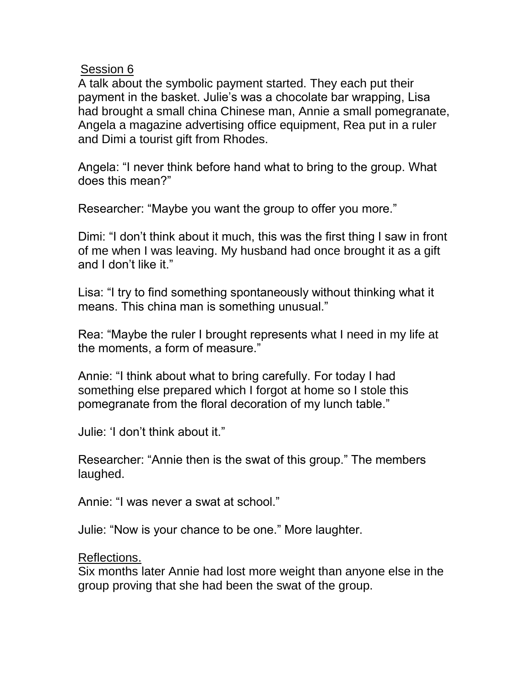#### Session 6

A talk about the symbolic payment started. They each put their payment in the basket. Julie's was a chocolate bar wrapping, Lisa had brought a small china Chinese man, Annie a small pomegranate, Angela a magazine advertising office equipment, Rea put in a ruler and Dimi a tourist gift from Rhodes.

Angela: "I never think before hand what to bring to the group. What does this mean?"

Researcher: "Maybe you want the group to offer you more."

Dimi: "I don't think about it much, this was the first thing I saw in front of me when I was leaving. My husband had once brought it as a gift and I don't like it."

Lisa: "I try to find something spontaneously without thinking what it means. This china man is something unusual."

Rea: "Maybe the ruler I brought represents what I need in my life at the moments, a form of measure."

Annie: "I think about what to bring carefully. For today I had something else prepared which I forgot at home so I stole this pomegranate from the floral decoration of my lunch table."

Julie: 'I don't think about it."

Researcher: "Annie then is the swat of this group." The members laughed.

Annie: "I was never a swat at school."

Julie: "Now is your chance to be one." More laughter.

#### Reflections.

Six months later Annie had lost more weight than anyone else in the group proving that she had been the swat of the group.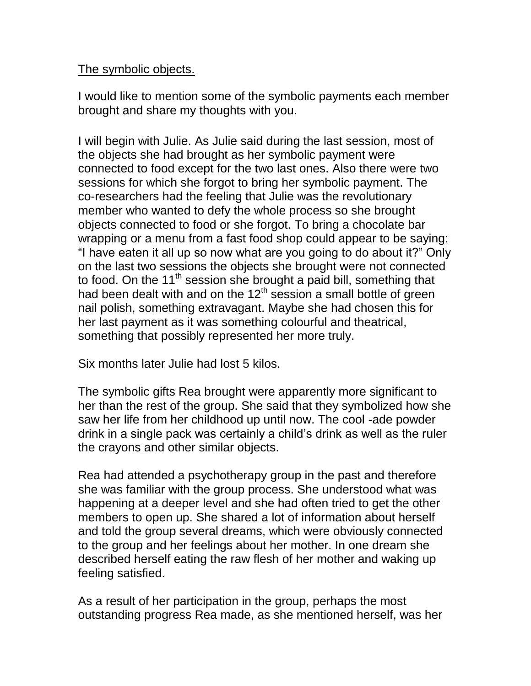#### The symbolic objects.

I would like to mention some of the symbolic payments each member brought and share my thoughts with you.

I will begin with Julie. As Julie said during the last session, most of the objects she had brought as her symbolic payment were connected to food except for the two last ones. Also there were two sessions for which she forgot to bring her symbolic payment. The co-researchers had the feeling that Julie was the revolutionary member who wanted to defy the whole process so she brought objects connected to food or she forgot. To bring a chocolate bar wrapping or a menu from a fast food shop could appear to be saying: "I have eaten it all up so now what are you going to do about it?" Only on the last two sessions the objects she brought were not connected to food. On the 11<sup>th</sup> session she brought a paid bill, something that had been dealt with and on the  $12<sup>th</sup>$  session a small bottle of green nail polish, something extravagant. Maybe she had chosen this for her last payment as it was something colourful and theatrical, something that possibly represented her more truly.

Six months later Julie had lost 5 kilos.

The symbolic gifts Rea brought were apparently more significant to her than the rest of the group. She said that they symbolized how she saw her life from her childhood up until now. The cool -ade powder drink in a single pack was certainly a child's drink as well as the ruler the crayons and other similar objects.

Rea had attended a psychotherapy group in the past and therefore she was familiar with the group process. She understood what was happening at a deeper level and she had often tried to get the other members to open up. She shared a lot of information about herself and told the group several dreams, which were obviously connected to the group and her feelings about her mother. In one dream she described herself eating the raw flesh of her mother and waking up feeling satisfied.

As a result of her participation in the group, perhaps the most outstanding progress Rea made, as she mentioned herself, was her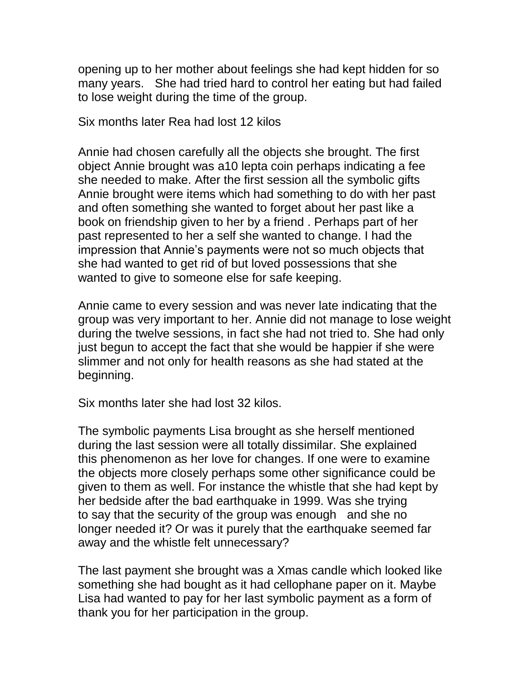opening up to her mother about feelings she had kept hidden for so many years. She had tried hard to control her eating but had failed to lose weight during the time of the group.

Six months later Rea had lost 12 kilos

Annie had chosen carefully all the objects she brought. The first object Annie brought was a10 lepta coin perhaps indicating a fee she needed to make. After the first session all the symbolic gifts Annie brought were items which had something to do with her past and often something she wanted to forget about her past like a book on friendship given to her by a friend . Perhaps part of her past represented to her a self she wanted to change. I had the impression that Annie's payments were not so much objects that she had wanted to get rid of but loved possessions that she wanted to give to someone else for safe keeping.

Annie came to every session and was never late indicating that the group was very important to her. Annie did not manage to lose weight during the twelve sessions, in fact she had not tried to. She had only just begun to accept the fact that she would be happier if she were slimmer and not only for health reasons as she had stated at the beginning.

Six months later she had lost 32 kilos.

The symbolic payments Lisa brought as she herself mentioned during the last session were all totally dissimilar. She explained this phenomenon as her love for changes. If one were to examine the objects more closely perhaps some other significance could be given to them as well. For instance the whistle that she had kept by her bedside after the bad earthquake in 1999. Was she trying to say that the security of the group was enough and she no longer needed it? Or was it purely that the earthquake seemed far away and the whistle felt unnecessary?

The last payment she brought was a Xmas candle which looked like something she had bought as it had cellophane paper on it. Maybe Lisa had wanted to pay for her last symbolic payment as a form of thank you for her participation in the group.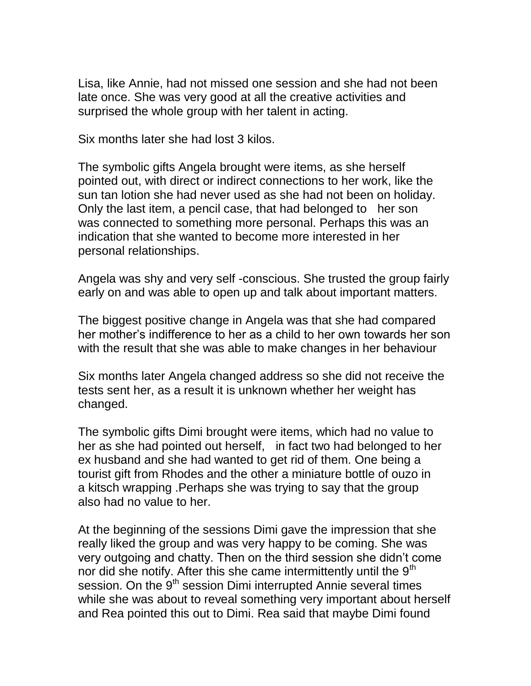Lisa, like Annie, had not missed one session and she had not been late once. She was very good at all the creative activities and surprised the whole group with her talent in acting.

Six months later she had lost 3 kilos.

The symbolic gifts Angela brought were items, as she herself pointed out, with direct or indirect connections to her work, like the sun tan lotion she had never used as she had not been on holiday. Only the last item, a pencil case, that had belonged to her son was connected to something more personal. Perhaps this was an indication that she wanted to become more interested in her personal relationships.

Angela was shy and very self -conscious. She trusted the group fairly early on and was able to open up and talk about important matters.

The biggest positive change in Angela was that she had compared her mother's indifference to her as a child to her own towards her son with the result that she was able to make changes in her behaviour

Six months later Angela changed address so she did not receive the tests sent her, as a result it is unknown whether her weight has changed.

The symbolic gifts Dimi brought were items, which had no value to her as she had pointed out herself, in fact two had belonged to her ex husband and she had wanted to get rid of them. One being a tourist gift from Rhodes and the other a miniature bottle of ouzo in a kitsch wrapping .Perhaps she was trying to say that the group also had no value to her.

At the beginning of the sessions Dimi gave the impression that she really liked the group and was very happy to be coming. She was very outgoing and chatty. Then on the third session she didn't come nor did she notify. After this she came intermittently until the  $9<sup>th</sup>$ session. On the 9<sup>th</sup> session Dimi interrupted Annie several times while she was about to reveal something very important about herself and Rea pointed this out to Dimi. Rea said that maybe Dimi found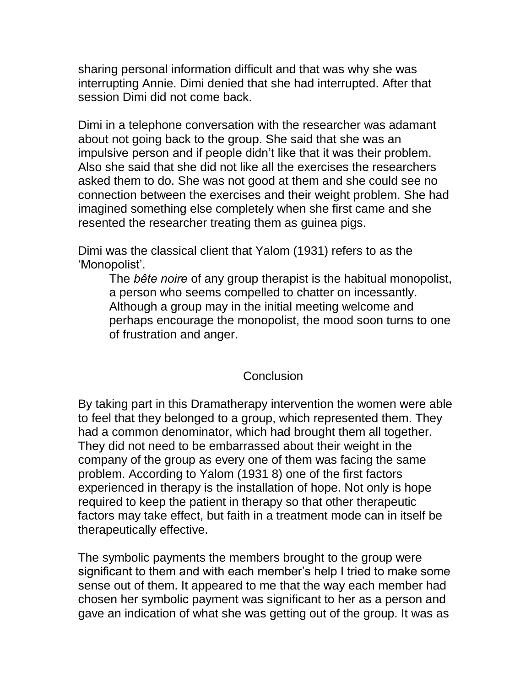sharing personal information difficult and that was why she was interrupting Annie. Dimi denied that she had interrupted. After that session Dimi did not come back.

Dimi in a telephone conversation with the researcher was adamant about not going back to the group. She said that she was an impulsive person and if people didn't like that it was their problem. Also she said that she did not like all the exercises the researchers asked them to do. She was not good at them and she could see no connection between the exercises and their weight problem. She had imagined something else completely when she first came and she resented the researcher treating them as guinea pigs.

Dimi was the classical client that Yalom (1931) refers to as the 'Monopolist'.

The *bête noire* of any group therapist is the habitual monopolist, a person who seems compelled to chatter on incessantly. Although a group may in the initial meeting welcome and perhaps encourage the monopolist, the mood soon turns to one of frustration and anger.

## **Conclusion**

By taking part in this Dramatherapy intervention the women were able to feel that they belonged to a group, which represented them. They had a common denominator, which had brought them all together. They did not need to be embarrassed about their weight in the company of the group as every one of them was facing the same problem. According to Yalom (1931 8) one of the first factors experienced in therapy is the installation of hope. Not only is hope required to keep the patient in therapy so that other therapeutic factors may take effect, but faith in a treatment mode can in itself be therapeutically effective.

The symbolic payments the members brought to the group were significant to them and with each member's help I tried to make some sense out of them. It appeared to me that the way each member had chosen her symbolic payment was significant to her as a person and gave an indication of what she was getting out of the group. It was as